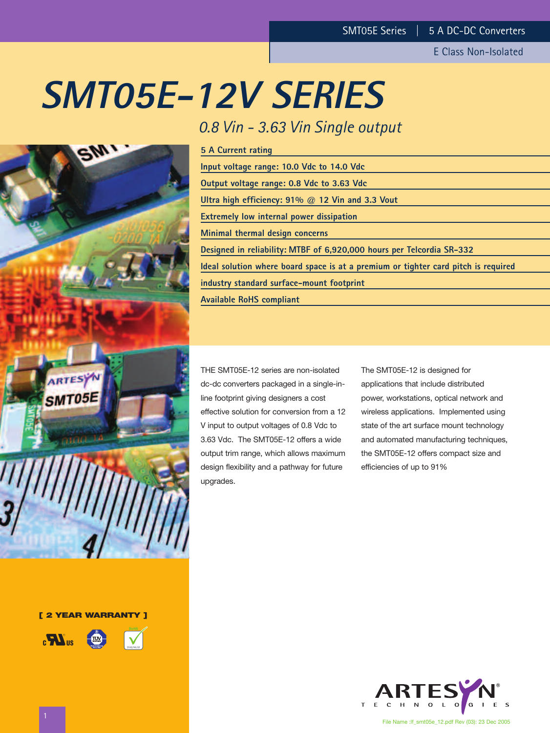# **SMT05E-12V SERIES**

# *0.8 Vin - 3.63 Vin Single output*

| <b>5 A Current rating</b>                                                          |
|------------------------------------------------------------------------------------|
| Input voltage range: 10.0 Vdc to 14.0 Vdc                                          |
| Output voltage range: 0.8 Vdc to 3.63 Vdc                                          |
| Ultra high efficiency: $91\%$ @ 12 Vin and 3.3 Vout                                |
| <b>Extremely low internal power dissipation</b>                                    |
| Minimal thermal design concerns                                                    |
| Designed in reliability: MTBF of 6,920,000 hours per Telcordia SR-332              |
| Ideal solution where board space is at a premium or tighter card pitch is required |
| industry standard surface-mount footprint                                          |
| <b>Available RoHS compliant</b>                                                    |
|                                                                                    |

THE SMT05E-12 series are non-isolated dc-dc converters packaged in a single-inline footprint giving designers a cost effective solution for conversion from a 12 V input to output voltages of 0.8 Vdc to 3.63 Vdc. The SMT05E-12 offers a wide output trim range, which allows maximum design flexibility and a pathway for future upgrades.

The SMT05E-12 is designed for applications that include distributed power, workstations, optical network and wireless applications. Implemented using state of the art surface mount technology and automated manufacturing techniques, the SMT05E-12 offers compact size and efficiencies of up to 91%





**[ 2 YEAR WARRANTY ]**



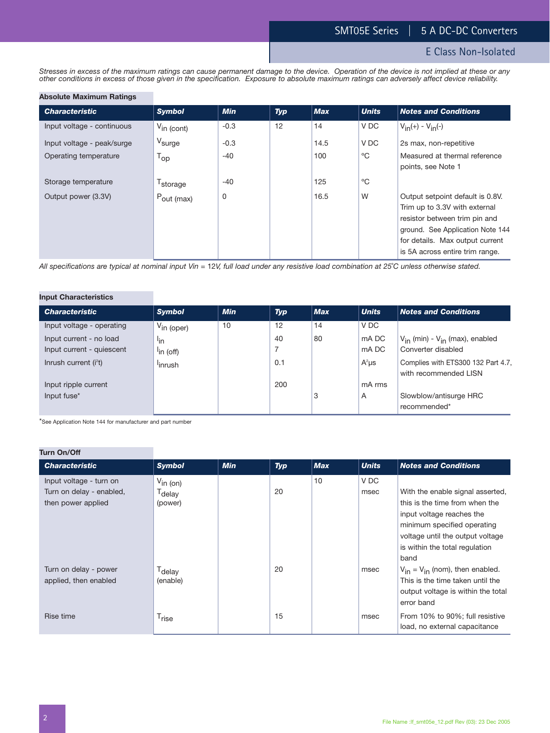E Class Non-Isolated

*Stresses in excess of the maximum ratings can cause permanent damage to the device. Operation of the device is not implied at these or any other conditions in excess of those given in the specification. Exposure to absolute maximum ratings can adversely affect device reliability.*

#### **Absolute Maximum Ratings**

| <b>Characteristic</b>      | <b>Symbol</b>              | <b>Min</b> | Typ | <b>Max</b> | <b>Units</b> | <b>Notes and Conditions</b>                                                                                                                                                                                  |
|----------------------------|----------------------------|------------|-----|------------|--------------|--------------------------------------------------------------------------------------------------------------------------------------------------------------------------------------------------------------|
| Input voltage - continuous | $V_{\text{in (cont)}}$     | $-0.3$     | 12  | 14         | V DC         | $V_{in}(+) - V_{in}(-)$                                                                                                                                                                                      |
| Input voltage - peak/surge | V <sub>surge</sub>         | $-0.3$     |     | 14.5       | V DC         | 2s max, non-repetitive                                                                                                                                                                                       |
| Operating temperature      | $\mathsf{T}_{\mathsf{op}}$ | $-40$      |     | 100        | °C           | Measured at thermal reference<br>points, see Note 1                                                                                                                                                          |
| Storage temperature        | T <sub>storage</sub>       | $-40$      |     | 125        | °C           |                                                                                                                                                                                                              |
| Output power (3.3V)        | $P_{\text{out (max)}}$     | 0          |     | 16.5       | W            | Output setpoint default is 0.8V.<br>Trim up to 3.3V with external<br>resistor between trim pin and<br>ground. See Application Note 144<br>for details. Max output current<br>is 5A across entire trim range. |

*All specifications are typical at nominal input Vin =* 12*V, full load under any resistive load combination at 25*˚*C unless otherwise stated.*

# **Input Characteristics**

| <b>Characteristic</b>             | <b>Symbol</b>          | <b>Min</b> | <b>Typ</b> | <b>Max</b> | <b>Units</b> | <b>Notes and Conditions</b>              |
|-----------------------------------|------------------------|------------|------------|------------|--------------|------------------------------------------|
| Input voltage - operating         | $V_{\text{in (oper)}}$ | 10         | 12         | 14         | V DC         |                                          |
| Input current - no load           | lin                    |            | 40         | 80         | mA DC        | $V_{in}$ (min) - $V_{in}$ (max), enabled |
| Input current - quiescent         | <sup>l</sup> in (off)  |            |            |            | mA DC        | Converter disabled                       |
| Inrush current (i <sup>2</sup> t) | <sup>l</sup> inrush    |            | 0.1        |            | $A^2\mu s$   | Complies with ETS300 132 Part 4.7,       |
|                                   |                        |            |            |            |              | with recommended LISN                    |
| Input ripple current              |                        |            | 200        |            | mA rms       |                                          |
| Input fuse*                       |                        |            |            | 3          | A            | Slowblow/antisurge HRC                   |
|                                   |                        |            |            |            |              | recommended*                             |

\*See Application Note 144 for manufacturer and part number

# **Turn On/Off**

| <b>Characteristic</b>                                                     | <b>Symbol</b>                                         | <b>Min</b> | Typ | <b>Max</b> | <b>Units</b> | <b>Notes and Conditions</b>                                                                                                                                                                                  |
|---------------------------------------------------------------------------|-------------------------------------------------------|------------|-----|------------|--------------|--------------------------------------------------------------------------------------------------------------------------------------------------------------------------------------------------------------|
| Input voltage - turn on<br>Turn on delay - enabled,<br>then power applied | $V_{\text{in (on)}}$<br>T <sub>delay</sub><br>(power) |            | 20  | 10         | V DC<br>msec | With the enable signal asserted,<br>this is the time from when the<br>input voltage reaches the<br>minimum specified operating<br>voltage until the output voltage<br>is within the total regulation<br>band |
| Turn on delay - power<br>applied, then enabled                            | T <sub>delay</sub><br>(enable)                        |            | 20  |            | msec         | $V_{in} = V_{in}$ (nom), then enabled.<br>This is the time taken until the<br>output voltage is within the total<br>error band                                                                               |
| Rise time                                                                 | T <sub>rise</sub>                                     |            | 15  |            | msec         | From 10% to 90%; full resistive<br>load, no external capacitance                                                                                                                                             |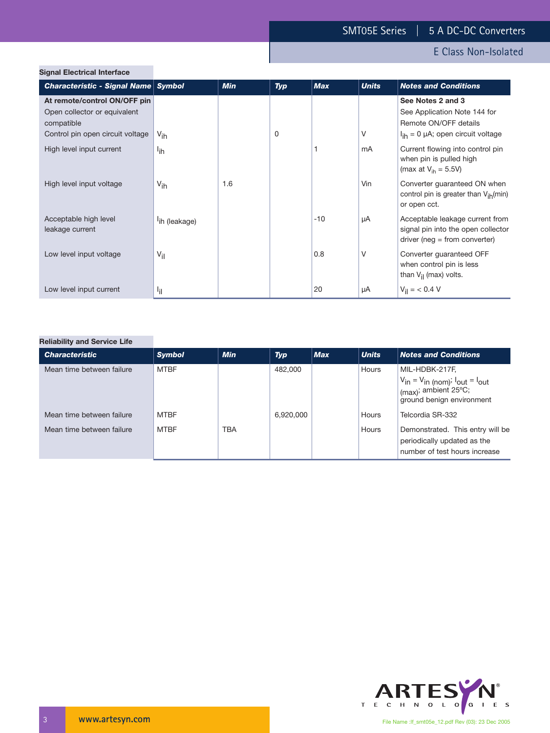| <b>Signal Electrical Interface</b>                                                                             |                           |            |            |            |              |                                                                                                                     |
|----------------------------------------------------------------------------------------------------------------|---------------------------|------------|------------|------------|--------------|---------------------------------------------------------------------------------------------------------------------|
| Characteristic - Signal Name Symbol                                                                            |                           | <b>Min</b> | <b>Typ</b> | <b>Max</b> | <b>Units</b> | <b>Notes and Conditions</b>                                                                                         |
| At remote/control ON/OFF pin<br>Open collector or equivalent<br>compatible<br>Control pin open circuit voltage | $V_{\text{ih}}$           |            | 0          |            | V            | See Notes 2 and 3<br>See Application Note 144 for<br>Remote ON/OFF details<br>$I_{ih} = 0$ µA; open circuit voltage |
| High level input current                                                                                       | l <sub>ih</sub>           |            |            |            | mA           | Current flowing into control pin<br>when pin is pulled high<br>(max at $V_{\text{ih}} = 5.5V$ )                     |
| High level input voltage                                                                                       | $V_{\text{ih}}$           | 1.6        |            |            | Vin          | Converter guaranteed ON when<br>control pin is greater than $V_{ih}(min)$<br>or open cct.                           |
| Acceptable high level<br>leakage current                                                                       | <sup>l</sup> ih (leakage) |            |            | $-10$      | μA           | Acceptable leakage current from<br>signal pin into the open collector<br>$driver (neg = from converter)$            |
| Low level input voltage                                                                                        | $V_{\rm{il}}$             |            |            | 0.8        | V            | Converter guaranteed OFF<br>when control pin is less<br>than $V_{\text{il}}$ (max) volts.                           |
| Low level input current                                                                                        | ١j١                       |            |            | 20         | μA           | $V_{\text{il}} = 6.4 \text{ V}$                                                                                     |

# **Reliability and Service Life**

| <b>Characteristic</b>     | <b>Symbol</b> | <b>Min</b> | <b>Typ</b> | <b>Max</b> | <b>Units</b> | <b>Notes and Conditions</b>                                                                                                 |
|---------------------------|---------------|------------|------------|------------|--------------|-----------------------------------------------------------------------------------------------------------------------------|
| Mean time between failure | <b>MTBF</b>   |            | 482,000    |            | Hours        | MIL-HDBK-217F,<br>$V_{in} = V_{in (nom)}$ ; $I_{out} = I_{out}$<br>$\mid$ (max); ambient 25°C;<br>ground benign environment |
| Mean time between failure | <b>MTBF</b>   |            | 6,920,000  |            | Hours        | Telcordia SR-332                                                                                                            |
| Mean time between failure | <b>MTBF</b>   | <b>TBA</b> |            |            | Hours        | Demonstrated. This entry will be<br>periodically updated as the<br>number of test hours increase                            |



File Name :lf\_smt05e\_12.pdf Rev (03): 23 Dec 2005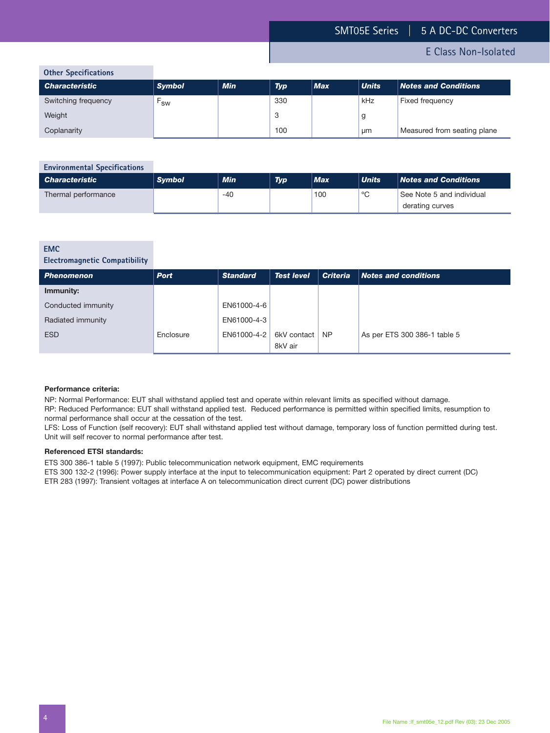derating curves

# E Class Non-Isolated

**Other Specifications**

| <b>UCILLE SPECIFICACIONS</b> |               |            |            |            |              |                             |
|------------------------------|---------------|------------|------------|------------|--------------|-----------------------------|
| <b>Characteristic</b>        | <b>Symbol</b> | <b>Min</b> | <b>Typ</b> | <b>Max</b> | <b>Units</b> | <b>Notes and Conditions</b> |
| Switching frequency          | <b>SW</b>     |            | 330        |            | kHz          | Fixed frequency             |
| Weight                       |               |            | 3          |            | g            |                             |
| Coplanarity                  |               |            | 100        |            | μm           | Measured from seating plane |

# **Environmental Specifications** *Characteristic Symbol Min Typ Max Units Notes and Conditions* Thermal performance 1.100 100  $\degree$ C See Note 5 and individual

#### **EMC**

# **Electromagnetic Compatibility**

| <b>Phenomenon</b>  | <b>Port</b> | <b>Standard</b> | <b>Test level</b>      | <b>Criteria</b> | $\blacksquare$ Notes and conditions |
|--------------------|-------------|-----------------|------------------------|-----------------|-------------------------------------|
| Immunity:          |             |                 |                        |                 |                                     |
| Conducted immunity |             | EN61000-4-6     |                        |                 |                                     |
| Radiated immunity  |             | EN61000-4-3     |                        |                 |                                     |
| <b>ESD</b>         | Enclosure   | EN61000-4-2     | 6kV contact<br>8kV air | NP.             | As per ETS 300 386-1 table 5        |

#### **Performance criteria:**

NP: Normal Performance: EUT shall withstand applied test and operate within relevant limits as specified without damage.

RP: Reduced Performance: EUT shall withstand applied test. Reduced performance is permitted within specified limits, resumption to normal performance shall occur at the cessation of the test.

LFS: Loss of Function (self recovery): EUT shall withstand applied test without damage, temporary loss of function permitted during test. Unit will self recover to normal performance after test.

#### **Referenced ETSI standards:**

ETS 300 386-1 table 5 (1997): Public telecommunication network equipment, EMC requirements

ETS 300 132-2 (1996): Power supply interface at the input to telecommunication equipment: Part 2 operated by direct current (DC)

ETR 283 (1997): Transient voltages at interface A on telecommunication direct current (DC) power distributions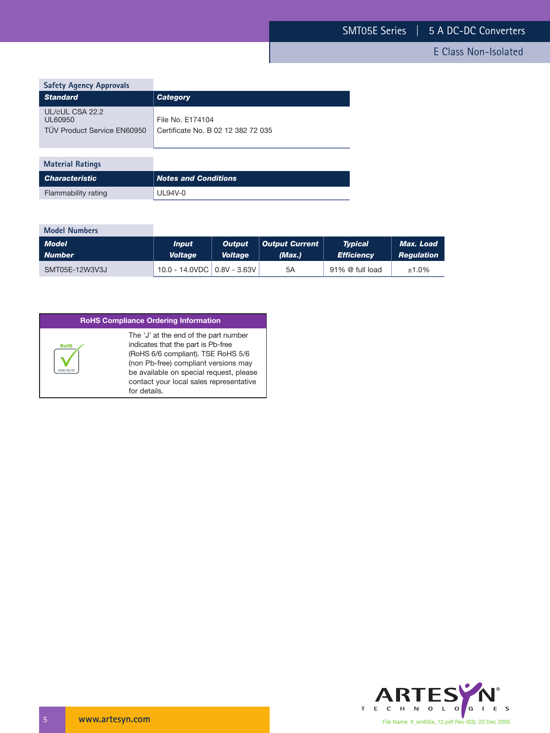| <b>Safety Agency Approvals</b>                            |                                                        |
|-----------------------------------------------------------|--------------------------------------------------------|
| <b>Standard</b>                                           | <b>Category</b>                                        |
| UL/cUL CSA 22.2<br>UL60950<br>TÜV Product Service EN60950 | File No. F174104<br>Certificate No. B 02 12 382 72 035 |
| <b>Material Ratings</b>                                   |                                                        |
| <b>Characteristic</b>                                     | <b>Notes and Conditions</b>                            |
| Flammability rating                                       | UL94V-0                                                |

| <b>Model Numbers</b> |                               |                |                |                   |                   |
|----------------------|-------------------------------|----------------|----------------|-------------------|-------------------|
| <b>Model</b>         | <b>Input</b>                  | <b>Output</b>  | Output Current | <b>Typical</b>    | Max. Load         |
| <b>Number</b>        | <b>Voltage</b>                | <b>Voltage</b> | (Max.)         | <b>Efficiency</b> | <b>Regulation</b> |
| SMT05E-12W3V3J       | 10.0 - 14.0VDC   0.8V - 3.63V |                | 5A             | 91% @ full load   | $±1.0\%$          |

# **RoHS Compliance Ordering Information**

|             | The 'J' at the end of the part number   |
|-------------|-----------------------------------------|
| <b>RoHS</b> | indicates that the part is Pb-free      |
|             | (RoHS 6/6 compliant). TSE RoHS 5/6      |
|             | (non Pb-free) compliant versions may    |
|             | be available on special request, please |
|             | contact your local sales representative |
|             | for details.                            |

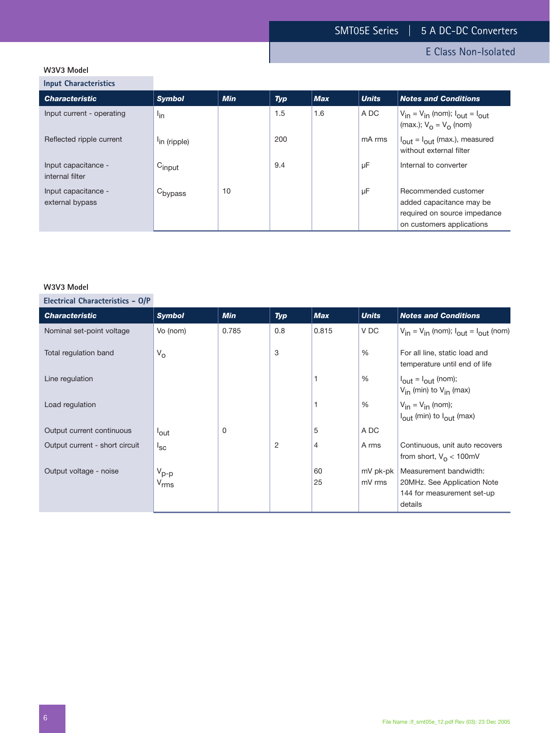# **W3V3 Model**

**Input Characteristics**

| <b>Characteristic</b>                  | <b>Symbol</b>            | <b>Min</b> | Typ | <b>Max</b> | <b>Units</b> | <b>Notes and Conditions</b>                                                                                   |
|----------------------------------------|--------------------------|------------|-----|------------|--------------|---------------------------------------------------------------------------------------------------------------|
| Input current - operating              | l <sub>in</sub>          |            | 1.5 | 1.6        | A DC         | $V_{in} = V_{in}$ (nom); $I_{out} = I_{out}$<br>(max.); $V_{\Omega} = V_{\Omega}$ (nom)                       |
| Reflected ripple current               | <sup>l</sup> in (ripple) |            | 200 |            | mA rms       | $I_{\text{out}} = I_{\text{out}}$ (max.), measured<br>without external filter                                 |
| Input capacitance -<br>internal filter | $C_{input}$              |            | 9.4 |            | μF           | Internal to converter                                                                                         |
| Input capacitance -<br>external bypass | C <sub>bypass</sub>      | 10         |     |            | μF           | Recommended customer<br>added capacitance may be<br>required on source impedance<br>on customers applications |

# **W3V3 Model**

**Electrical Characteristics - O/P**

| <b>Characteristic</b>          | <b>Symbol</b>    | <b>Min</b> | <b>Typ</b> | <b>Max</b> | <b>Units</b>  | <b>Notes and Conditions</b>                                                  |
|--------------------------------|------------------|------------|------------|------------|---------------|------------------------------------------------------------------------------|
| Nominal set-point voltage      | Vo (nom)         | 0.785      | 0.8        | 0.815      | V DC          | $V_{in} = V_{in}$ (nom); $I_{out} = I_{out}$ (nom)                           |
| Total regulation band          | $V_{\rm O}$      |            | 3          |            | $\%$          | For all line, static load and<br>temperature until end of life               |
| Line regulation                |                  |            |            |            | $\frac{0}{0}$ | $I_{\text{out}} = I_{\text{out}}$ (nom);<br>$V_{in}$ (min) to $V_{in}$ (max) |
| Load regulation                |                  |            |            |            | %             | $V_{in} = V_{in}$ (nom);<br>$I_{\text{out}}$ (min) to $I_{\text{out}}$ (max) |
| Output current continuous      | <sup>l</sup> out | $\Omega$   |            | 5          | A DC          |                                                                              |
| Output current - short circuit | $I_{SC}$         |            | 2          | 4          | A rms         | Continuous, unit auto recovers<br>from short, $V_{\Omega}$ < 100mV           |
| Output voltage - noise         | $V_{p-p}$        |            |            | 60         | mV pk-pk      | Measurement bandwidth:                                                       |
|                                | $V_{rms}$        |            |            | 25         | mV rms        | 20MHz. See Application Note                                                  |
|                                |                  |            |            |            |               | 144 for measurement set-up                                                   |
|                                |                  |            |            |            |               | details                                                                      |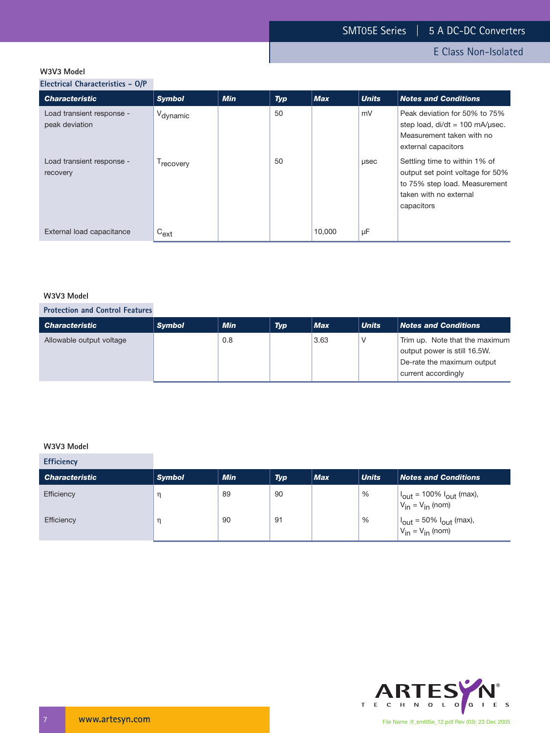E Class Non-Isolated

# **W3V3 Model**

**Electrical Characteristics - O/P**

| <b>Characteristic</b>                       | <b>Symbol</b>         | <b>Min</b> | <b>Typ</b> | <b>Max</b> | <b>Units</b> | <b>Notes and Conditions</b>                                                                                                                |
|---------------------------------------------|-----------------------|------------|------------|------------|--------------|--------------------------------------------------------------------------------------------------------------------------------------------|
| Load transient response -<br>peak deviation | V <sub>dynamic</sub>  |            | 50         |            | mV           | Peak deviation for 50% to 75%<br>step load, $di/dt = 100$ mA/usec.<br>Measurement taken with no<br>external capacitors                     |
| Load transient response -<br>recovery       | <sup>1</sup> recovery |            | 50         |            | usec         | Settling time to within 1% of<br>output set point voltage for 50%<br>to 75% step load. Measurement<br>taken with no external<br>capacitors |
| External load capacitance                   | $C_{ext}$             |            |            | 10.000     | μF           |                                                                                                                                            |

## **W3V3 Model**

# **Protection and Control Features**

| <b>Characteristic</b>    | <b>Symbol</b> | <b>Min</b> | <b>Typ</b> | <b>Max</b> | <b>Units</b> | <b>Notes and Conditions</b>                                                                                         |
|--------------------------|---------------|------------|------------|------------|--------------|---------------------------------------------------------------------------------------------------------------------|
| Allowable output voltage |               | 0.8        |            | 3.63       |              | Trim up. Note that the maximum<br>output power is still 16.5W.<br>De-rate the maximum output<br>current accordingly |

#### **W3V3 Model**

**College** 

| <b>Efficiency</b>     |               |            |            |     |              |                                                                              |
|-----------------------|---------------|------------|------------|-----|--------------|------------------------------------------------------------------------------|
| <b>Characteristic</b> | <b>Symbol</b> | <b>Min</b> | <b>Typ</b> | Max | <b>Units</b> | <b>Notes and Conditions</b>                                                  |
| Efficiency            | η             | 89         | 90         |     | %            | $ I_{\text{out}} $ = 100% $I_{\text{out}}$ (max),<br>$V_{in} = V_{in}$ (nom) |
| Efficiency            |               | 90         | 91         |     | %            | $ I_{\text{out}} = 50\% I_{\text{out}}$ (max),<br>$V_{in} = V_{in}$ (nom)    |

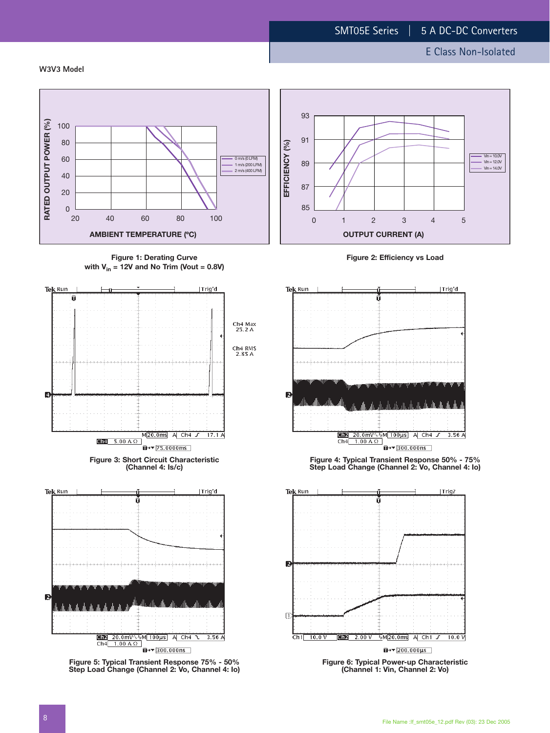#### **W3V3 Model**



**Figure 1: Derating Curve with Vin = 12V and No Trim (Vout = 0.8V)**



**Figure 5: Typical Transient Response 75% - 50% Step Load Change (Channel 2: Vo, Channel 4: Io)**

 $\overline{u}$  +  $\sqrt{300.000}$  ms

 $Ch4$  1.00 A  $\Omega$ 



**Figure 2: Efficiency vs Load**



**Figure 4: Typical Transient Response 50% - 75% Step Load Change (Channel 2: Vo, Channel 4: Io)**



**(Channel 1: Vin, Channel 2: Vo)**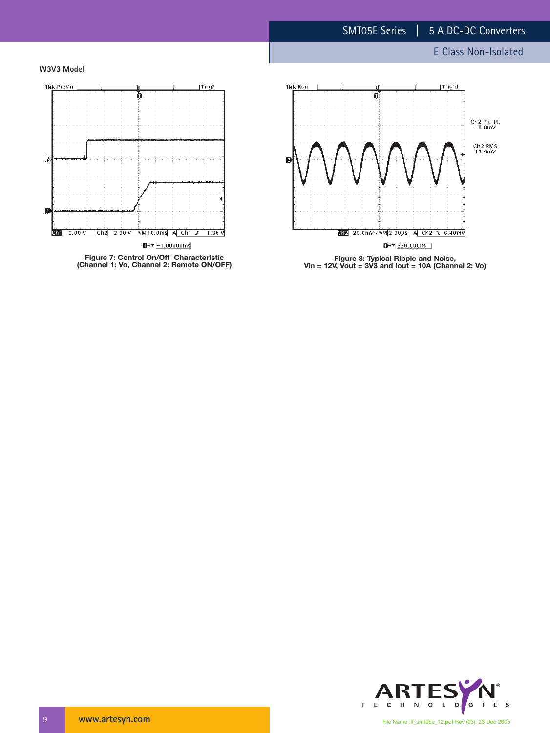# E Class Non-Isolated





**(Channel 1: Vo, Channel 2: Remote ON/OFF)**



**Figure 8: Typical Ripple and Noise, Vin = 12V, Vout = 3V3 and Iout = 10A (Channel 2: Vo)**

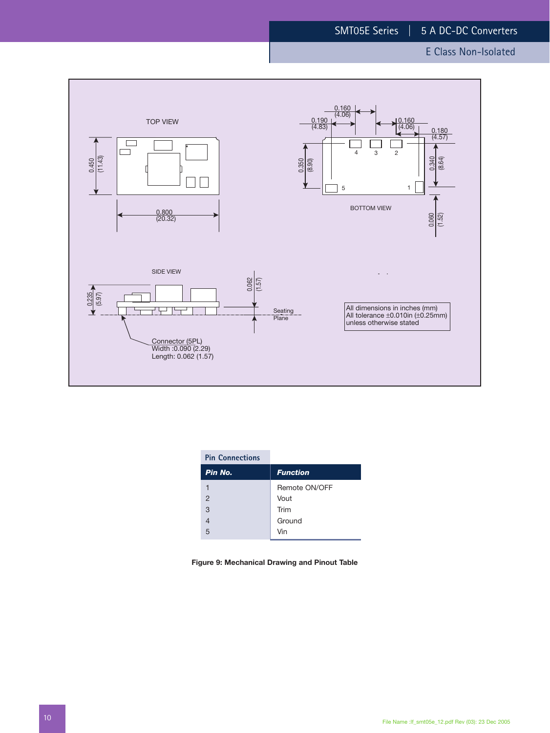

| <b>Pin Connections</b> |                 |
|------------------------|-----------------|
| Pin No.                | <b>Function</b> |
|                        | Remote ON/OFF   |
| $\overline{2}$         | Vout            |
| 3                      | Trim            |
|                        | Ground          |
| 5                      | Vin             |

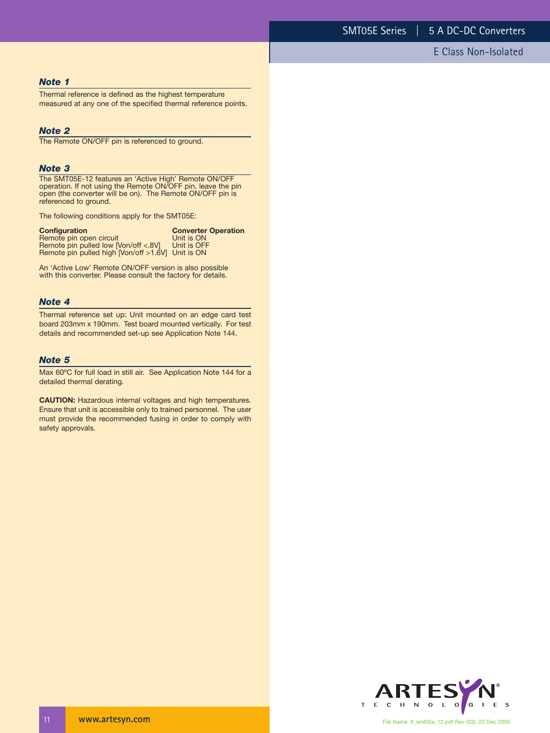#### *Note 1*

Thermal reference is defined as the highest temperature measured at any one of the specified thermal reference points.

### *Note 2*

The Remote ON/OFF pin is referenced to ground.

#### *Note 3*

The SMT05E-12 features an 'Active High' Remote ON/OFF operation. If not using the Remote ON/OFF pin, leave the pin open (the converter will be on). The Remote ON/OFF pin is referenced to ground.

The following conditions apply for the SMT05E:

| <b>Configuration</b>                              | <b>Converter Operation</b> |
|---------------------------------------------------|----------------------------|
| Remote pin open circuit                           | Unit is ON                 |
| Remote pin pulled low [Von/off <.8V]              | Unit is OFF                |
| Remote pin pulled high [Von/off >1.6V] Unit is ON |                            |

An 'Active Low' Remote ON/OFF version is also possible with this converter. Please consult the factory for details.

# *Note 4*

Thermal reference set up: Unit mounted on an edge card test board 203mm x 190mm. Test board mounted vertically. For test details and recommended set-up see Application Note 144.

# *Note 5*

Max 60ºC for full load in still air. See Application Note 144 for a detailed thermal derating.

**CAUTION:** Hazardous internal voltages and high temperatures. Ensure that unit is accessible only to trained personnel. The user must provide the recommended fusing in order to comply with safety approvals.